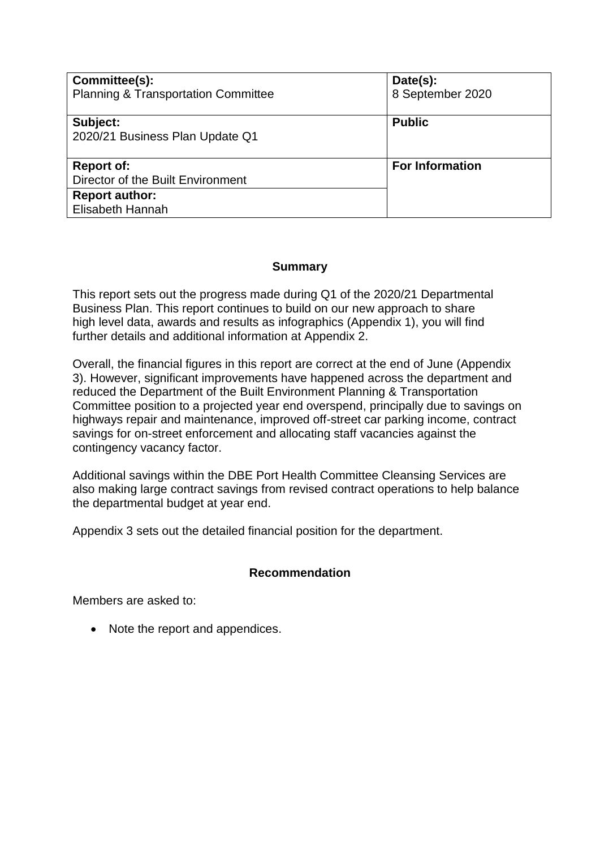| Committee(s):<br><b>Planning &amp; Transportation Committee</b> | Date(s):<br>8 September 2020 |
|-----------------------------------------------------------------|------------------------------|
| Subject:<br>2020/21 Business Plan Update Q1                     | <b>Public</b>                |
| <b>Report of:</b><br>Director of the Built Environment          | <b>For Information</b>       |
| <b>Report author:</b><br>Elisabeth Hannah                       |                              |

# **Summary**

This report sets out the progress made during Q1 of the 2020/21 Departmental Business Plan. This report continues to build on our new approach to share high level data, awards and results as infographics (Appendix 1), you will find further details and additional information at Appendix 2.

Overall, the financial figures in this report are correct at the end of June (Appendix 3). However, significant improvements have happened across the department and reduced the Department of the Built Environment Planning & Transportation Committee position to a projected year end overspend, principally due to savings on highways repair and maintenance, improved off-street car parking income, contract savings for on-street enforcement and allocating staff vacancies against the contingency vacancy factor.

Additional savings within the DBE Port Health Committee Cleansing Services are also making large contract savings from revised contract operations to help balance the departmental budget at year end.

Appendix 3 sets out the detailed financial position for the department.

#### **Recommendation**

Members are asked to:

• Note the report and appendices.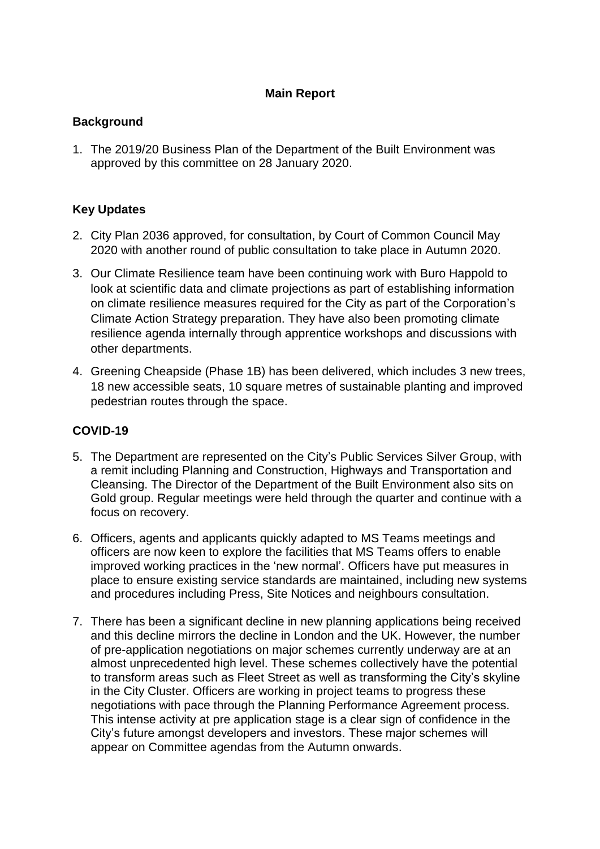# **Main Report**

# **Background**

1. The 2019/20 Business Plan of the Department of the Built Environment was approved by this committee on 28 January 2020.

# **Key Updates**

- 2. City Plan 2036 approved, for consultation, by Court of Common Council May 2020 with another round of public consultation to take place in Autumn 2020.
- 3. Our Climate Resilience team have been continuing work with Buro Happold to look at scientific data and climate projections as part of establishing information on climate resilience measures required for the City as part of the Corporation's Climate Action Strategy preparation. They have also been promoting climate resilience agenda internally through apprentice workshops and discussions with other departments.
- 4. Greening Cheapside (Phase 1B) has been delivered, which includes 3 new trees, 18 new accessible seats, 10 square metres of sustainable planting and improved pedestrian routes through the space.

# **COVID-19**

- 5. The Department are represented on the City's Public Services Silver Group, with a remit including Planning and Construction, Highways and Transportation and Cleansing. The Director of the Department of the Built Environment also sits on Gold group. Regular meetings were held through the quarter and continue with a focus on recovery.
- 6. Officers, agents and applicants quickly adapted to MS Teams meetings and officers are now keen to explore the facilities that MS Teams offers to enable improved working practices in the 'new normal'. Officers have put measures in place to ensure existing service standards are maintained, including new systems and procedures including Press, Site Notices and neighbours consultation.
- 7. There has been a significant decline in new planning applications being received and this decline mirrors the decline in London and the UK. However, the number of pre-application negotiations on major schemes currently underway are at an almost unprecedented high level. These schemes collectively have the potential to transform areas such as Fleet Street as well as transforming the City's skyline in the City Cluster. Officers are working in project teams to progress these negotiations with pace through the Planning Performance Agreement process. This intense activity at pre application stage is a clear sign of confidence in the City's future amongst developers and investors. These major schemes will appear on Committee agendas from the Autumn onwards.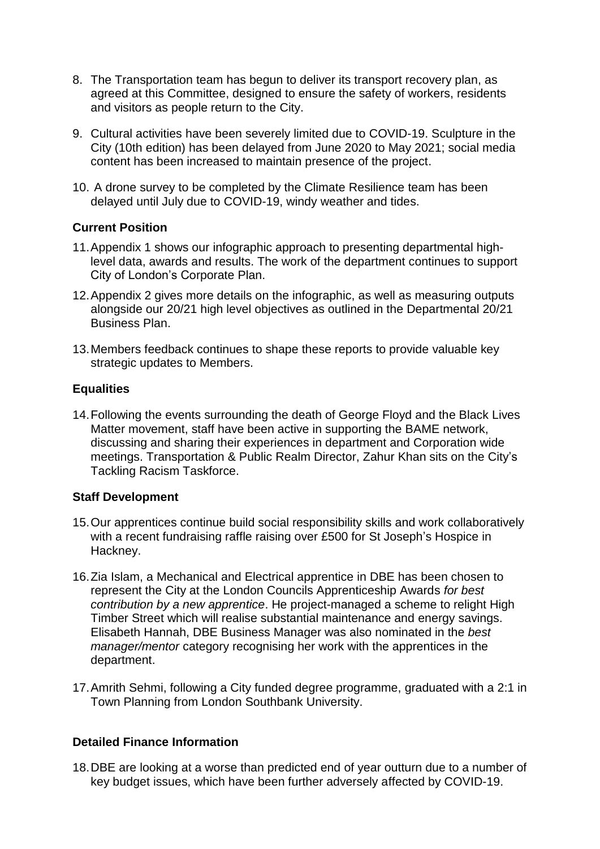- 8. The Transportation team has begun to deliver its transport recovery plan, as agreed at this Committee, designed to ensure the safety of workers, residents and visitors as people return to the City.
- 9. Cultural activities have been severely limited due to COVID-19. Sculpture in the City (10th edition) has been delayed from June 2020 to May 2021; social media content has been increased to maintain presence of the project.
- 10. A drone survey to be completed by the Climate Resilience team has been delayed until July due to COVID-19, windy weather and tides.

#### **Current Position**

- 11.Appendix 1 shows our infographic approach to presenting departmental highlevel data, awards and results. The work of the department continues to support City of London's Corporate Plan.
- 12.Appendix 2 gives more details on the infographic, as well as measuring outputs alongside our 20/21 high level objectives as outlined in the Departmental 20/21 Business Plan.
- 13.Members feedback continues to shape these reports to provide valuable key strategic updates to Members.

# **Equalities**

14.Following the events surrounding the death of George Floyd and the Black Lives Matter movement, staff have been active in supporting the BAME network, discussing and sharing their experiences in department and Corporation wide meetings. Transportation & Public Realm Director, Zahur Khan sits on the City's Tackling Racism Taskforce.

#### **Staff Development**

- 15.Our apprentices continue build social responsibility skills and work collaboratively with a recent fundraising raffle raising over £500 for St Joseph's Hospice in Hackney.
- 16.Zia Islam, a Mechanical and Electrical apprentice in DBE has been chosen to represent the City at the London Councils Apprenticeship Awards *for best contribution by a new apprentice*. He project-managed a scheme to relight High Timber Street which will realise substantial maintenance and energy savings. Elisabeth Hannah, DBE Business Manager was also nominated in the *best manager/mentor* category recognising her work with the apprentices in the department.
- 17.Amrith Sehmi, following a City funded degree programme, graduated with a 2:1 in Town Planning from London Southbank University.

#### **Detailed Finance Information**

18.DBE are looking at a worse than predicted end of year outturn due to a number of key budget issues, which have been further adversely affected by COVID-19.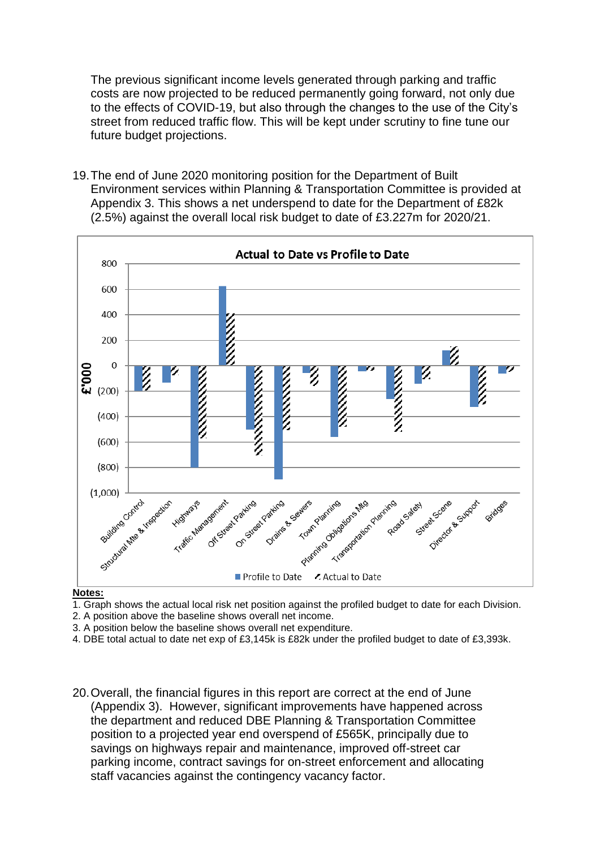The previous significant income levels generated through parking and traffic costs are now projected to be reduced permanently going forward, not only due to the effects of COVID-19, but also through the changes to the use of the City's street from reduced traffic flow. This will be kept under scrutiny to fine tune our future budget projections.

19.The end of June 2020 monitoring position for the Department of Built Environment services within Planning & Transportation Committee is provided at Appendix 3. This shows a net underspend to date for the Department of £82k (2.5%) against the overall local risk budget to date of £3.227m for 2020/21.



#### **Notes:**

1. Graph shows the actual local risk net position against the profiled budget to date for each Division.

2. A position above the baseline shows overall net income.

3. A position below the baseline shows overall net expenditure.

4. DBE total actual to date net exp of £3,145k is £82k under the profiled budget to date of £3,393k.

20.Overall, the financial figures in this report are correct at the end of June (Appendix 3). However, significant improvements have happened across the department and reduced DBE Planning & Transportation Committee position to a projected year end overspend of £565K, principally due to savings on highways repair and maintenance, improved off-street car parking income, contract savings for on-street enforcement and allocating staff vacancies against the contingency vacancy factor.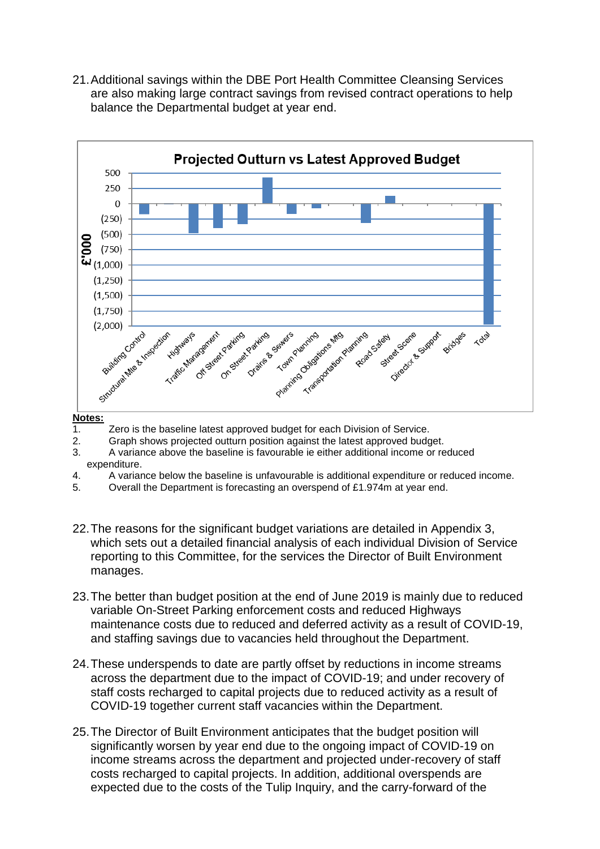21.Additional savings within the DBE Port Health Committee Cleansing Services are also making large contract savings from revised contract operations to help balance the Departmental budget at year end.



#### **Notes:**

- 1. Zero is the baseline latest approved budget for each Division of Service.
- 2. Graph shows projected outturn position against the latest approved budget.
- 3. A variance above the baseline is favourable ie either additional income or reduced expenditure.
- 4. A variance below the baseline is unfavourable is additional expenditure or reduced income.
- 5. Overall the Department is forecasting an overspend of £1.974m at year end.
- 22.The reasons for the significant budget variations are detailed in Appendix 3, which sets out a detailed financial analysis of each individual Division of Service reporting to this Committee, for the services the Director of Built Environment manages.
- 23.The better than budget position at the end of June 2019 is mainly due to reduced variable On-Street Parking enforcement costs and reduced Highways maintenance costs due to reduced and deferred activity as a result of COVID-19, and staffing savings due to vacancies held throughout the Department.
- 24.These underspends to date are partly offset by reductions in income streams across the department due to the impact of COVID-19; and under recovery of staff costs recharged to capital projects due to reduced activity as a result of COVID-19 together current staff vacancies within the Department.
- 25.The Director of Built Environment anticipates that the budget position will significantly worsen by year end due to the ongoing impact of COVID-19 on income streams across the department and projected under-recovery of staff costs recharged to capital projects. In addition, additional overspends are expected due to the costs of the Tulip Inquiry, and the carry-forward of the